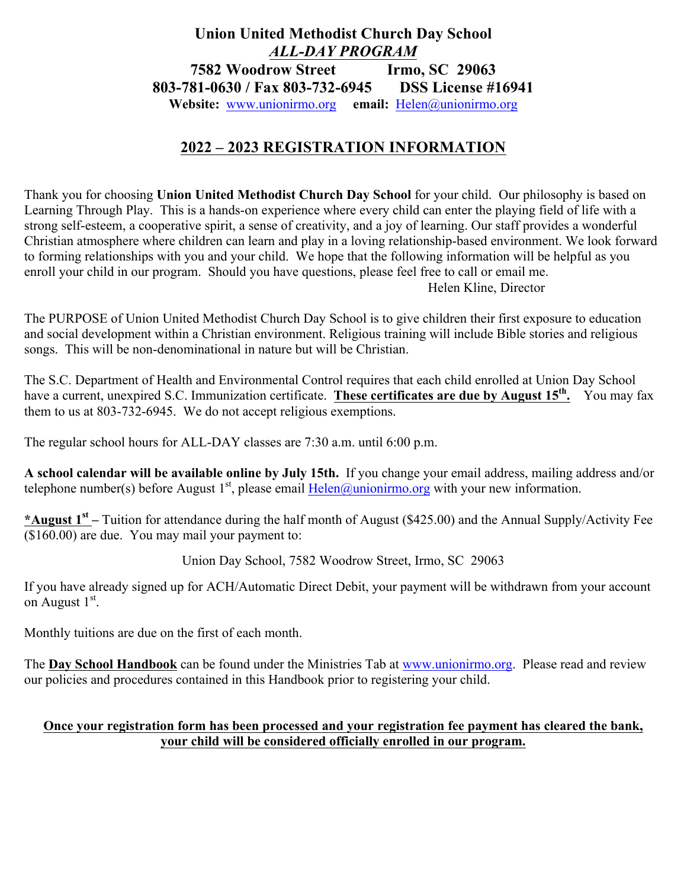## **Union United Methodist Church Day School** *ALL-DAY PROGRAM* **7582 Woodrow Street Irmo, SC 29063 803-781-0630 / Fax 803-732-6945 DSS License #16941 Website:** www.unionirmo.org **email:** Helen@unionirmo.org

## **2022 – 2023 REGISTRATION INFORMATION**

Thank you for choosing **Union United Methodist Church Day School** for your child. Our philosophy is based on Learning Through Play. This is a hands-on experience where every child can enter the playing field of life with a strong self-esteem, a cooperative spirit, a sense of creativity, and a joy of learning. Our staff provides a wonderful Christian atmosphere where children can learn and play in a loving relationship-based environment. We look forward to forming relationships with you and your child. We hope that the following information will be helpful as you enroll your child in our program. Should you have questions, please feel free to call or email me. Helen Kline, Director

The PURPOSE of Union United Methodist Church Day School is to give children their first exposure to education and social development within a Christian environment. Religious training will include Bible stories and religious songs. This will be non-denominational in nature but will be Christian.

The S.C. Department of Health and Environmental Control requires that each child enrolled at Union Day School have a current, unexpired S.C. Immunization certificate. These certificates are due by August 15<sup>th</sup>. You may fax them to us at 803-732-6945. We do not accept religious exemptions.

The regular school hours for ALL-DAY classes are 7:30 a.m. until 6:00 p.m.

**A school calendar will be available online by July 15th.** If you change your email address, mailing address and/or telephone number(s) before August  $1<sup>st</sup>$ , please email Helen@unionirmo.org with your new information.

**\*August 1st –** Tuition for attendance during the half month of August (\$425.00) and the Annual Supply/Activity Fee (\$160.00) are due. You may mail your payment to:

Union Day School, 7582 Woodrow Street, Irmo, SC 29063

If you have already signed up for ACH/Automatic Direct Debit, your payment will be withdrawn from your account on August  $1<sup>st</sup>$ .

Monthly tuitions are due on the first of each month.

The **Day School Handbook** can be found under the Ministries Tab at www.unionirmo.org. Please read and review our policies and procedures contained in this Handbook prior to registering your child.

## **Once your registration form has been processed and your registration fee payment has cleared the bank, your child will be considered officially enrolled in our program.**